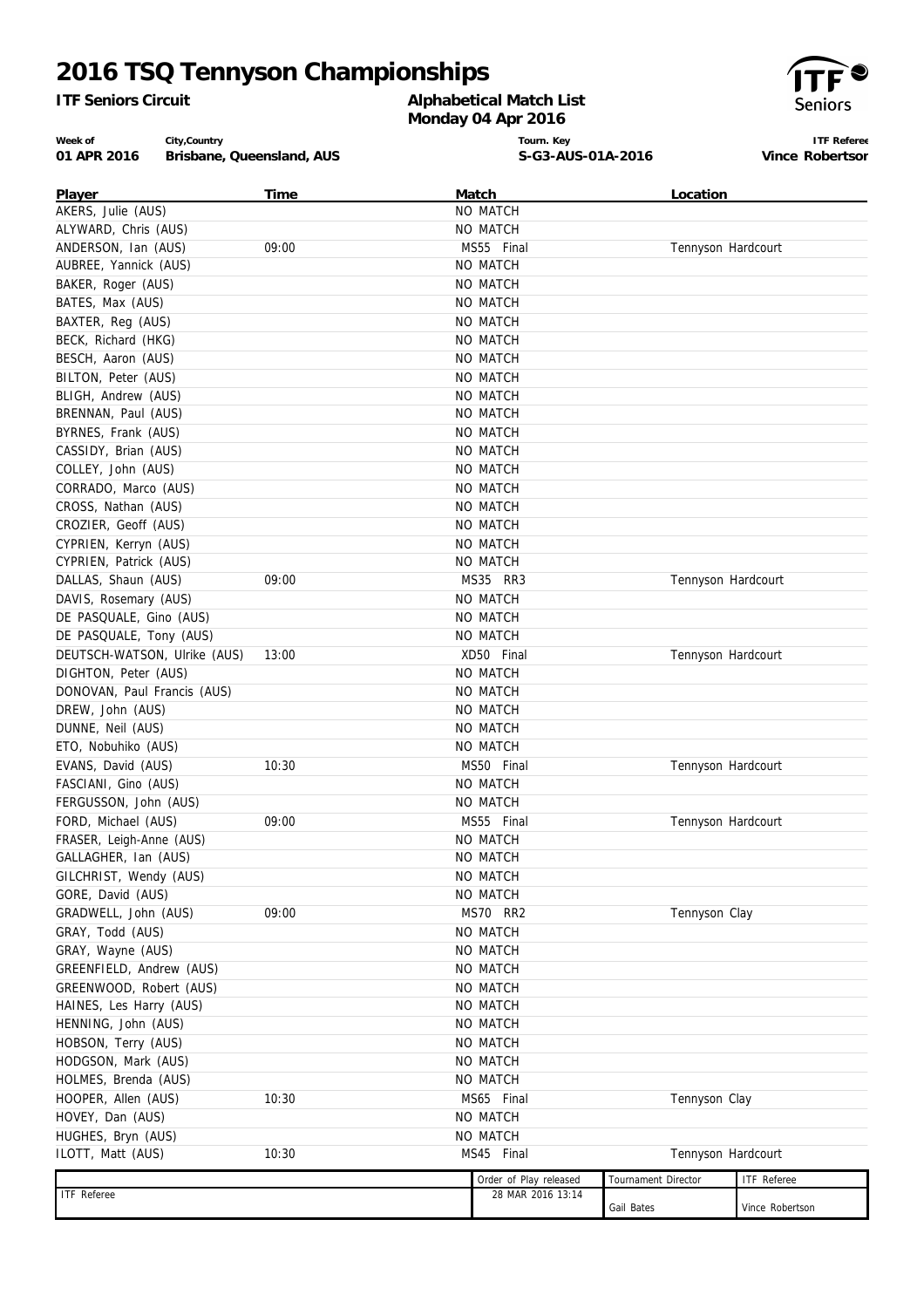# **2016 TSQ Tennyson Championships**

*ITF Seniors Circuit*

#### **Alphabetical Match List Monday 04 Apr 2016**



**ITF Referee Vince Robertson**

**Week of 01 APR 2016 Brisbane, Queensland, AUS City,Country**

**Tourn. Key S-G3-AUS-01A-2016**

| Player                       | Time  | Match                  | Location            |                 |  |
|------------------------------|-------|------------------------|---------------------|-----------------|--|
| AKERS, Julie (AUS)           |       | NO MATCH               |                     |                 |  |
| ALYWARD, Chris (AUS)         |       | NO MATCH               |                     |                 |  |
| ANDERSON, Ian (AUS)          | 09:00 | MS55 Final             | Tennyson Hardcourt  |                 |  |
| AUBREE, Yannick (AUS)        |       | NO MATCH               |                     |                 |  |
| BAKER, Roger (AUS)           |       | NO MATCH               |                     |                 |  |
| BATES, Max (AUS)             |       | NO MATCH               |                     |                 |  |
| BAXTER, Reg (AUS)            |       | NO MATCH               |                     |                 |  |
| BECK, Richard (HKG)          |       | NO MATCH               |                     |                 |  |
| BESCH, Aaron (AUS)           |       | NO MATCH               |                     |                 |  |
| BILTON, Peter (AUS)          |       | NO MATCH               |                     |                 |  |
| BLIGH, Andrew (AUS)          |       | NO MATCH               |                     |                 |  |
| BRENNAN, Paul (AUS)          |       | NO MATCH               |                     |                 |  |
| BYRNES, Frank (AUS)          |       | NO MATCH               |                     |                 |  |
| CASSIDY, Brian (AUS)         |       | NO MATCH               |                     |                 |  |
| COLLEY, John (AUS)           |       | NO MATCH               |                     |                 |  |
| CORRADO, Marco (AUS)         |       | <b>NO MATCH</b>        |                     |                 |  |
| CROSS, Nathan (AUS)          |       | NO MATCH               |                     |                 |  |
| CROZIER, Geoff (AUS)         |       | NO MATCH               |                     |                 |  |
| CYPRIEN, Kerryn (AUS)        |       | NO MATCH               |                     |                 |  |
| CYPRIEN, Patrick (AUS)       |       | NO MATCH               |                     |                 |  |
| DALLAS, Shaun (AUS)          | 09:00 | MS35 RR3               | Tennyson Hardcourt  |                 |  |
| DAVIS, Rosemary (AUS)        |       | NO MATCH               |                     |                 |  |
| DE PASQUALE, Gino (AUS)      |       | <b>NO MATCH</b>        |                     |                 |  |
| DE PASQUALE, Tony (AUS)      |       | NO MATCH               |                     |                 |  |
| DEUTSCH-WATSON, Ulrike (AUS) | 13:00 | XD50 Final             | Tennyson Hardcourt  |                 |  |
| DIGHTON, Peter (AUS)         |       | NO MATCH               |                     |                 |  |
| DONOVAN, Paul Francis (AUS)  |       | <b>NO MATCH</b>        |                     |                 |  |
| DREW, John (AUS)             |       | NO MATCH               |                     |                 |  |
| DUNNE, Neil (AUS)            |       | NO MATCH               |                     |                 |  |
| ETO, Nobuhiko (AUS)          |       | NO MATCH               |                     |                 |  |
|                              |       |                        |                     |                 |  |
| EVANS, David (AUS)           | 10:30 | MS50 Final             | Tennyson Hardcourt  |                 |  |
| FASCIANI, Gino (AUS)         |       | NO MATCH               |                     |                 |  |
| FERGUSSON, John (AUS)        |       | NO MATCH               |                     |                 |  |
| FORD, Michael (AUS)          | 09:00 | MS55 Final             | Tennyson Hardcourt  |                 |  |
| FRASER, Leigh-Anne (AUS)     |       | <b>NO MATCH</b>        |                     |                 |  |
| GALLAGHER, Ian (AUS)         |       | NO MATCH               |                     |                 |  |
| GILCHRIST, Wendy (AUS)       |       | NO MATCH               |                     |                 |  |
| GORE, David (AUS)            |       | NO MATCH               |                     |                 |  |
| GRADWELL, John (AUS)         | 09:00 | MS70 RR2               | Tennyson Clay       |                 |  |
| GRAY, Todd (AUS)             |       | NO MATCH               |                     |                 |  |
| GRAY, Wayne (AUS)            |       | NO MATCH               |                     |                 |  |
| GREENFIELD, Andrew (AUS)     |       | NO MATCH               |                     |                 |  |
| GREENWOOD, Robert (AUS)      |       | NO MATCH               |                     |                 |  |
| HAINES, Les Harry (AUS)      |       | NO MATCH               |                     |                 |  |
| HENNING, John (AUS)          |       | NO MATCH               |                     |                 |  |
| HOBSON, Terry (AUS)          |       | NO MATCH               |                     |                 |  |
| HODGSON, Mark (AUS)          |       | NO MATCH               |                     |                 |  |
| HOLMES, Brenda (AUS)         |       | NO MATCH               |                     |                 |  |
| HOOPER, Allen (AUS)          | 10:30 | MS65 Final             | Tennyson Clay       |                 |  |
| HOVEY, Dan (AUS)             |       | NO MATCH               |                     |                 |  |
| HUGHES, Bryn (AUS)           |       | NO MATCH               |                     |                 |  |
| ILOTT, Matt (AUS)            | 10:30 | MS45 Final             | Tennyson Hardcourt  |                 |  |
|                              |       |                        |                     |                 |  |
|                              |       | Order of Play released | Tournament Director | ITF Referee     |  |
| <b>ITF</b> Referee           |       | 28 MAR 2016 13:14      | Gail Bates          | Vince Robertson |  |
|                              |       |                        |                     |                 |  |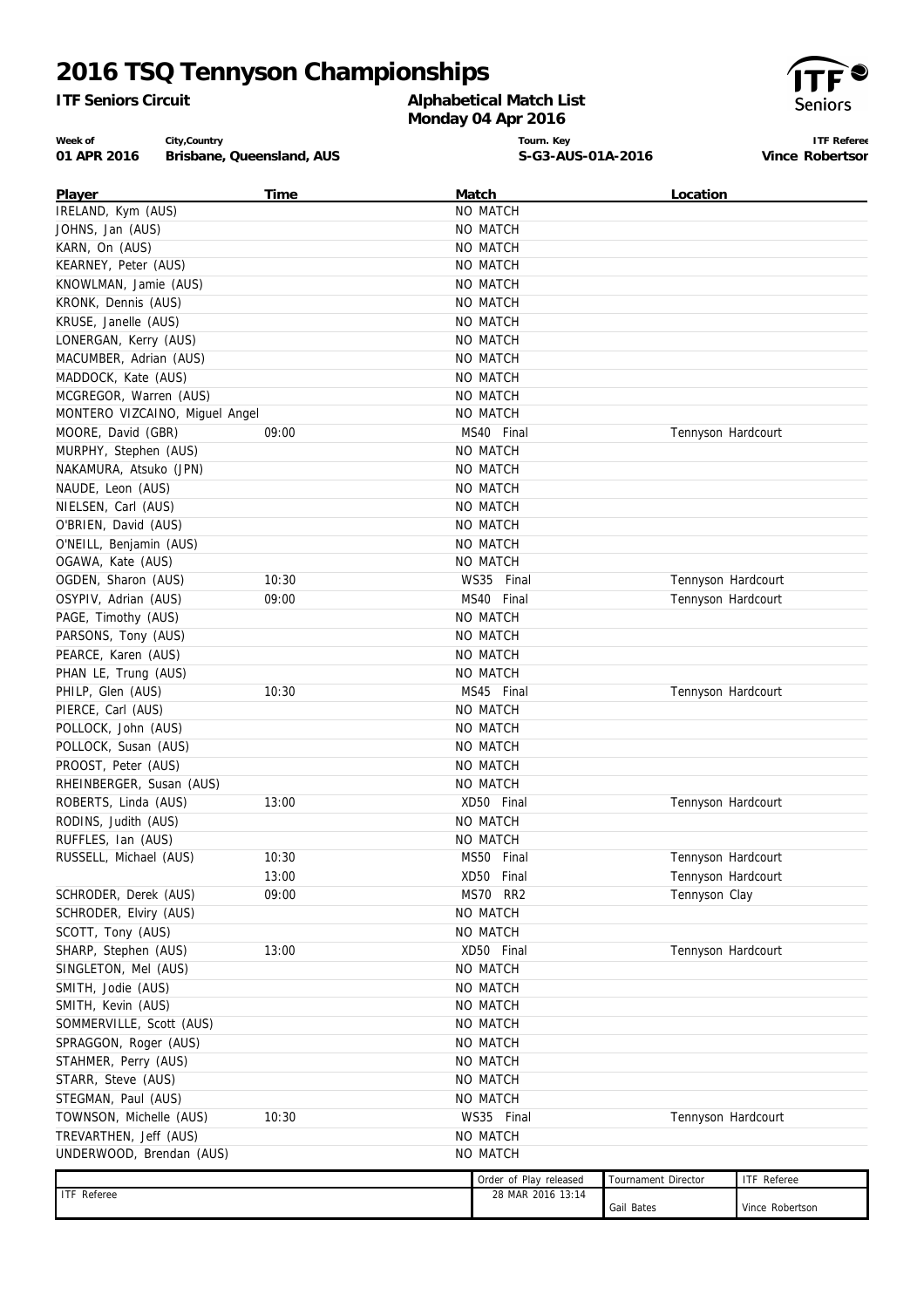# **2016 TSQ Tennyson Championships**

*ITF Seniors Circuit*

### **Alphabetical Match List Monday 04 Apr 2016**



**ITF Referee Vince Robertson**

**Week of 01 APR 2016 Brisbane, Queensland, AUS City,Country**

**Tourn. Key S-G3-AUS-01A-2016**

| Player                         | Time  | Match                  | Location            |                    |  |
|--------------------------------|-------|------------------------|---------------------|--------------------|--|
| IRELAND, Kym (AUS)             |       | NO MATCH               |                     |                    |  |
| JOHNS, Jan (AUS)               |       | NO MATCH               |                     |                    |  |
| KARN, On (AUS)                 |       | NO MATCH               |                     |                    |  |
| KEARNEY, Peter (AUS)           |       | NO MATCH               |                     |                    |  |
| KNOWLMAN, Jamie (AUS)          |       | NO MATCH               |                     |                    |  |
| KRONK, Dennis (AUS)            |       | NO MATCH               |                     |                    |  |
| KRUSE, Janelle (AUS)           |       | NO MATCH               |                     |                    |  |
| LONERGAN, Kerry (AUS)          |       | NO MATCH               |                     |                    |  |
| MACUMBER, Adrian (AUS)         |       | NO MATCH               |                     |                    |  |
| MADDOCK, Kate (AUS)            |       | NO MATCH               |                     |                    |  |
| MCGREGOR, Warren (AUS)         |       | NO MATCH               |                     |                    |  |
| MONTERO VIZCAINO, Miguel Angel |       | NO MATCH               |                     |                    |  |
| MOORE, David (GBR)             | 09:00 | MS40 Final             | Tennyson Hardcourt  |                    |  |
| MURPHY, Stephen (AUS)          |       | NO MATCH               |                     |                    |  |
| NAKAMURA, Atsuko (JPN)         |       | NO MATCH               |                     |                    |  |
| NAUDE, Leon (AUS)              |       | NO MATCH               |                     |                    |  |
| NIELSEN, Carl (AUS)            |       | NO MATCH               |                     |                    |  |
| O'BRIEN, David (AUS)           |       | NO MATCH               |                     |                    |  |
| O'NEILL, Benjamin (AUS)        |       | NO MATCH               |                     |                    |  |
| OGAWA, Kate (AUS)              |       | NO MATCH               |                     |                    |  |
| OGDEN, Sharon (AUS)            | 10:30 | WS35 Final             | Tennyson Hardcourt  |                    |  |
| OSYPIV, Adrian (AUS)           | 09:00 | MS40 Final             | Tennyson Hardcourt  |                    |  |
| PAGE, Timothy (AUS)            |       | NO MATCH               |                     |                    |  |
| PARSONS, Tony (AUS)            |       | NO MATCH               |                     |                    |  |
| PEARCE, Karen (AUS)            |       | NO MATCH               |                     |                    |  |
| PHAN LE, Trung (AUS)           |       | NO MATCH               |                     |                    |  |
| PHILP, Glen (AUS)              | 10:30 | MS45 Final             | Tennyson Hardcourt  |                    |  |
| PIERCE, Carl (AUS)             |       | NO MATCH               |                     |                    |  |
| POLLOCK, John (AUS)            |       | NO MATCH               |                     |                    |  |
| POLLOCK, Susan (AUS)           |       | NO MATCH               |                     |                    |  |
| PROOST, Peter (AUS)            |       | NO MATCH               |                     |                    |  |
| RHEINBERGER, Susan (AUS)       |       | NO MATCH               |                     |                    |  |
| ROBERTS, Linda (AUS)           | 13:00 | XD50 Final             | Tennyson Hardcourt  |                    |  |
| RODINS, Judith (AUS)           |       | NO MATCH               |                     |                    |  |
| RUFFLES, Ian (AUS)             |       | NO MATCH               |                     |                    |  |
| RUSSELL, Michael (AUS)         | 10:30 | MS50 Final             | Tennyson Hardcourt  |                    |  |
|                                | 13:00 | XD50 Final             | Tennyson Hardcourt  |                    |  |
| SCHRODER, Derek (AUS)          | 09:00 | MS70 RR2               | Tennyson Clay       |                    |  |
| SCHRODER, Elviry (AUS)         |       | NO MATCH               |                     |                    |  |
| SCOTT, Tony (AUS)              |       | NO MATCH               |                     |                    |  |
| SHARP, Stephen (AUS)           | 13:00 | XD50 Final             | Tennyson Hardcourt  |                    |  |
| SINGLETON, Mel (AUS)           |       | NO MATCH               |                     |                    |  |
| SMITH, Jodie (AUS)             |       | NO MATCH               |                     |                    |  |
| SMITH, Kevin (AUS)             |       | NO MATCH               |                     |                    |  |
| SOMMERVILLE, Scott (AUS)       |       | NO MATCH               |                     |                    |  |
| SPRAGGON, Roger (AUS)          |       | NO MATCH               |                     |                    |  |
| STAHMER, Perry (AUS)           |       | NO MATCH               |                     |                    |  |
| STARR, Steve (AUS)             |       | NO MATCH               |                     |                    |  |
| STEGMAN, Paul (AUS)            |       | NO MATCH               |                     |                    |  |
| TOWNSON, Michelle (AUS)        | 10:30 | WS35 Final             | Tennyson Hardcourt  |                    |  |
| TREVARTHEN, Jeff (AUS)         |       | NO MATCH               |                     |                    |  |
| UNDERWOOD, Brendan (AUS)       |       | NO MATCH               |                     |                    |  |
|                                |       |                        |                     |                    |  |
|                                |       | Order of Play released | Tournament Director | <b>ITF</b> Referee |  |
| ITF Referee                    |       | 28 MAR 2016 13:14      | Gail Bates          | Vince Robertson    |  |
|                                |       |                        |                     |                    |  |